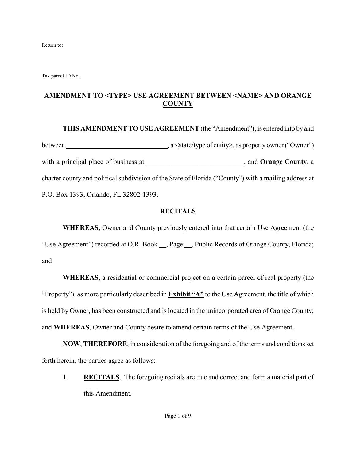Return to:

Tax parcel ID No.

### **AMENDMENT TO <TYPE> USE AGREEMENT BETWEEN <NAME> AND ORANGE COUNTY**

**THIS AMENDMENT TO USE AGREEMENT** (the "Amendment"), is entered into by and between \_\_\_\_\_\_\_\_\_\_\_\_\_\_\_\_\_\_\_\_\_\_\_\_\_\_\_, a <state/type of entity>, as property owner ("Owner") with a principal place of business at \_\_\_\_\_\_\_\_\_\_\_\_\_\_\_\_\_\_\_\_\_\_\_\_\_\_, and **Orange County**, a charter county and political subdivision of the State of Florida ("County") with a mailing address at P.O. Box 1393, Orlando, FL 32802-1393.

#### **RECITALS**

**WHEREAS,** Owner and County previously entered into that certain Use Agreement (the "Use Agreement") recorded at O.R. Book **\_\_**, Page **\_\_**, Public Records of Orange County, Florida; and

**WHEREAS**, a residential or commercial project on a certain parcel of real property (the "Property"), as more particularly described in **Exhibit "A"** to the Use Agreement, the title of which is held by Owner, has been constructed and is located in the unincorporated area of Orange County; and **WHEREAS**, Owner and County desire to amend certain terms of the Use Agreement.

**NOW**, **THEREFORE**, in consideration of the foregoing and of the terms and conditions set forth herein, the parties agree as follows:

1. **RECITALS**. The foregoing recitals are true and correct and form a material part of this Amendment.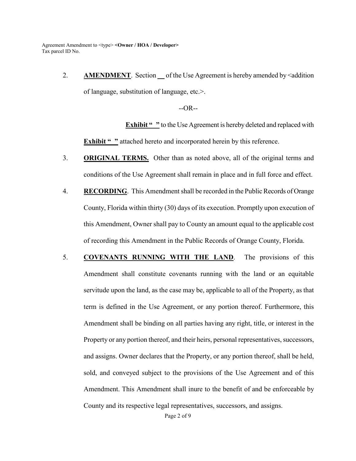> 2. **AMENDMENT**. Section \_ of the Use Agreement is hereby amended by <addition of language, substitution of language, etc.>.

> > $-OR-$

**Exhibit "** " to the Use Agreement is hereby deleted and replaced with **Exhibit "** " attached hereto and incorporated herein by this reference.

- 3. **ORIGINAL TERMS.** Other than as noted above, all of the original terms and conditions of the Use Agreement shall remain in place and in full force and effect.
- 4. **RECORDING**. This Amendment shall be recorded in the Public Records of Orange County, Florida within thirty (30) days of its execution. Promptly upon execution of this Amendment, Owner shall pay to County an amount equal to the applicable cost of recording this Amendment in the Public Records of Orange County, Florida.
- 5. **COVENANTS RUNNING WITH THE LAND**. The provisions of this Amendment shall constitute covenants running with the land or an equitable servitude upon the land, as the case may be, applicable to all of the Property, as that term is defined in the Use Agreement, or any portion thereof. Furthermore, this Amendment shall be binding on all parties having any right, title, or interest in the Property or any portion thereof, and their heirs, personal representatives, successors, and assigns. Owner declares that the Property, or any portion thereof, shall be held, sold, and conveyed subject to the provisions of the Use Agreement and of this Amendment. This Amendment shall inure to the benefit of and be enforceable by County and its respective legal representatives, successors, and assigns.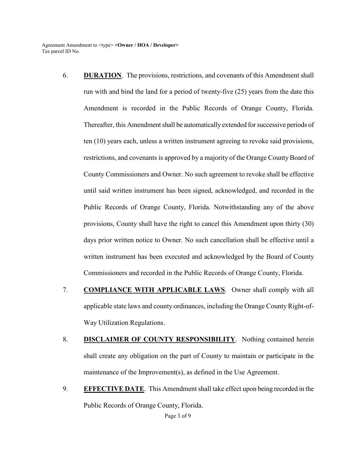- 6. **DURATION**. The provisions, restrictions, and covenants of this Amendment shall run with and bind the land for a period of twenty-five (25) years from the date this Amendment is recorded in the Public Records of Orange County, Florida. Thereafter, this Amendment shall be automatically extended for successive periods of ten (10) years each, unless a written instrument agreeing to revoke said provisions, restrictions, and covenants is approved by a majority of the Orange County Board of County Commissioners and Owner. No such agreement to revoke shall be effective until said written instrument has been signed, acknowledged, and recorded in the Public Records of Orange County, Florida. Notwithstanding any of the above provisions, County shall have the right to cancel this Amendment upon thirty (30) days prior written notice to Owner. No such cancellation shall be effective until a written instrument has been executed and acknowledged by the Board of County Commissioners and recorded in the Public Records of Orange County, Florida.
- 7. **COMPLIANCE WITH APPLICABLE LAWS**. Owner shall comply with all applicable state laws and county ordinances, including the Orange County Right-of-Way Utilization Regulations.
- 8. **DISCLAIMER OF COUNTY RESPONSIBILITY**. Nothing contained herein shall create any obligation on the part of County to maintain or participate in the maintenance of the Improvement(s), as defined in the Use Agreement.
- 9. **EFFECTIVE DATE**. This Amendment shall take effect upon being recorded in the Public Records of Orange County, Florida.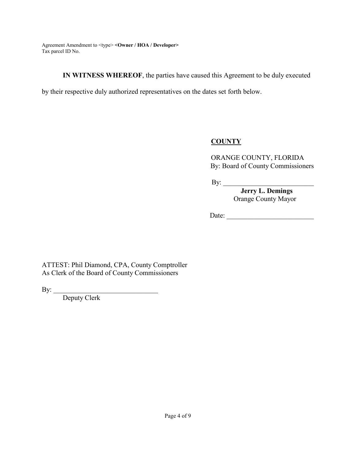**IN WITNESS WHEREOF**, the parties have caused this Agreement to be duly executed

by their respective duly authorized representatives on the dates set forth below.

### **COUNTY**

ORANGE COUNTY, FLORIDA By: Board of County Commissioners

By: \_\_\_\_\_\_\_\_\_\_\_\_\_\_\_\_\_\_\_\_\_\_\_\_\_\_

 **Jerry L. Demings** Orange County Mayor

Date: \_\_\_\_\_\_\_\_\_\_\_\_\_\_\_\_\_\_\_\_\_\_\_\_\_

ATTEST: Phil Diamond, CPA, County Comptroller As Clerk of the Board of County Commissioners

By:  $\_$ 

 Deputy Clerk \_\_\_\_\_\_\_\_\_\_\_\_\_\_\_\_\_\_\_\_\_\_\_\_\_\_\_\_\_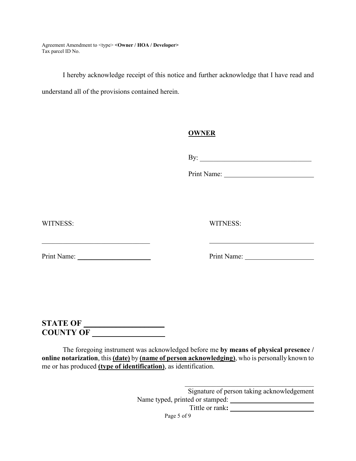I hereby acknowledge receipt of this notice and further acknowledge that I have read and

understand all of the provisions contained herein.

#### **OWNER**

By: \_\_\_\_\_\_\_\_\_\_\_\_\_\_\_\_\_\_\_\_\_\_\_\_\_\_\_\_\_\_\_\_

Print Name:

WITNESS: WITNESS:

Print Name: \_\_\_\_\_\_\_\_\_\_\_\_\_\_\_\_\_\_\_\_\_ Print Name:

# **STATE OF \_\_\_\_\_\_\_\_\_\_\_\_\_\_\_\_\_\_\_\_ COUNTY OF \_\_\_\_\_\_\_\_\_\_\_\_\_\_\_\_\_\_**

The foregoing instrument was acknowledged before me **by means of physical presence / online notarization**, this **(date)** by **(name of person acknowledging)**, who is personally known to me or has produced **(type of identification)**, as identification.

> \_\_\_\_\_\_\_\_\_\_\_\_\_\_\_\_\_\_\_\_\_\_\_\_\_\_\_\_\_\_\_\_\_\_\_\_\_ Signature of person taking acknowledgement Name typed, printed or stamped: **\_\_\_\_\_\_\_\_\_\_\_\_\_\_\_\_\_\_\_\_\_** Tittle or rank**: \_\_\_\_\_\_\_\_\_\_\_\_\_\_\_\_\_\_\_\_\_\_\_\_**

Page 5 of 9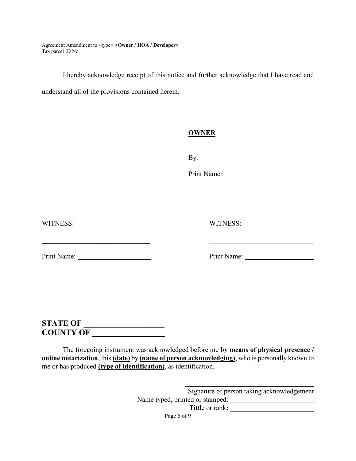I hereby acknowledge receipt of this notice and further acknowledge that I have read and

understand all of the provisions contained herein.

#### **OWNER**

By: \_\_\_\_\_\_\_\_\_\_\_\_\_\_\_\_\_\_\_\_\_\_\_\_\_\_\_\_\_\_\_\_

Print Name:

WITNESS: WITNESS:

Print Name: \_\_\_\_\_\_\_\_\_\_\_\_\_\_\_\_\_\_\_\_\_ Print Name:

# **STATE OF \_\_\_\_\_\_\_\_\_\_\_\_\_\_\_\_\_\_\_\_ COUNTY OF \_\_\_\_\_\_\_\_\_\_\_\_\_\_\_\_\_\_**

The foregoing instrument was acknowledged before me **by means of physical presence / online notarization**, this **(date)** by **(name of person acknowledging)**, who is personally known to me or has produced **(type of identification)**, as identification.

> \_\_\_\_\_\_\_\_\_\_\_\_\_\_\_\_\_\_\_\_\_\_\_\_\_\_\_\_\_\_\_\_\_\_\_\_\_ Signature of person taking acknowledgement Name typed, printed or stamped: **\_\_\_\_\_\_\_\_\_\_\_\_\_\_\_\_\_\_\_\_\_** Tittle or rank**: \_\_\_\_\_\_\_\_\_\_\_\_\_\_\_\_\_\_\_\_\_\_\_\_**

Page 6 of 9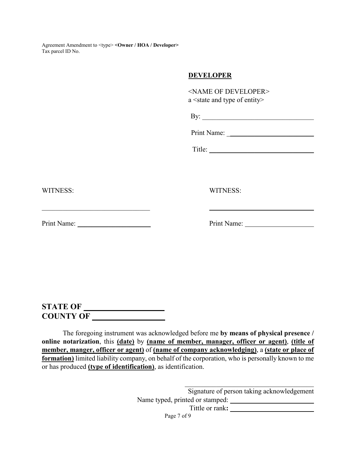#### **DEVELOPER**

| <name developer="" of=""></name>                 |
|--------------------------------------------------|
| a <state and="" entity="" of="" type=""></state> |
|                                                  |
| By: $\qquad \qquad$                              |
|                                                  |
|                                                  |
| Title:                                           |
|                                                  |
|                                                  |
|                                                  |
| <b>WITNESS:</b>                                  |
|                                                  |
|                                                  |
|                                                  |
| Print Name:                                      |
|                                                  |

WITNESS:

Print Name: \_\_\_\_\_\_\_\_\_\_\_\_\_\_\_\_\_\_\_\_\_ Print Name:

 $\mathcal{L}_\text{max}$  , and the set of the set of the set of the set of the set of the set of the set of the set of the set of the set of the set of the set of the set of the set of the set of the set of the set of the set of the

**STATE OF \_\_\_\_\_\_\_\_\_\_\_\_\_\_\_\_\_\_\_\_ COUNTY OF \_\_\_\_\_\_\_\_\_\_\_\_\_\_\_\_\_\_** 

The foregoing instrument was acknowledged before me **by means of physical presence / online notarization**, this **(date)** by **(name of member, manager, officer or agent)**, **(title of member, manger, officer or agent)** of **(name of company acknowledging)**, a **(state or place of formation)** limited liability company, on behalf of the corporation, who is personally known to me or has produced **(type of identification)**, as identification.

> Signature of person taking acknowledgement Name typed, printed or stamped: Tittle or rank**:**

\_\_\_\_\_\_\_\_\_\_\_\_\_\_\_\_\_\_\_\_\_\_\_\_\_\_\_\_\_\_\_\_\_\_\_\_\_

Page 7 of 9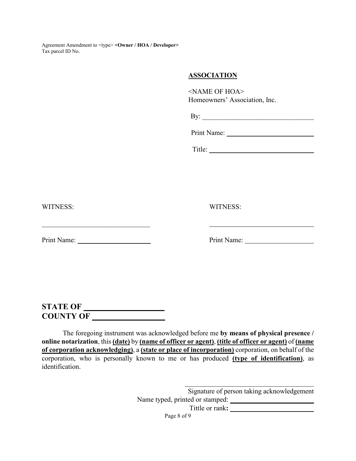#### **ASSOCIATION**

<NAME OF HOA> Homeowners' Association, Inc.

|--|

Print Name:

Title: \_\_\_\_\_\_\_\_\_\_\_\_\_\_\_\_\_\_\_\_\_\_\_\_\_\_\_\_\_\_

WITNESS: WITNESS:

 $\mathcal{L}_\text{max}$  , and the set of the set of the set of the set of the set of the set of the set of the set of the set of the set of the set of the set of the set of the set of the set of the set of the set of the set of the

Print Name: \_\_\_\_\_\_\_\_\_\_\_\_\_\_\_\_\_\_\_\_\_ Print Name:

**STATE OF \_\_\_\_\_\_\_\_\_\_\_\_\_\_\_\_\_\_\_\_ COUNTY OF \_\_\_\_\_\_\_\_\_\_\_\_\_\_\_\_\_\_** 

The foregoing instrument was acknowledged before me **by means of physical presence / online notarization**, this **(date)** by **(name of officer or agent)**, **(title of officer or agent)** of **(name of corporation acknowledging)**, a **(state or place of incorporation)** corporation, on behalf of the corporation, who is personally known to me or has produced **(type of identification)**, as identification.

> Signature of person taking acknowledgement Name typed, printed or stamped: **\_\_\_\_\_\_\_\_\_\_\_\_\_\_\_\_\_\_\_\_\_\_\_\_**  Tittle or rank**: \_\_\_\_\_\_\_\_\_\_\_\_\_\_\_\_\_\_\_\_\_\_\_\_**

Page 8 of 9